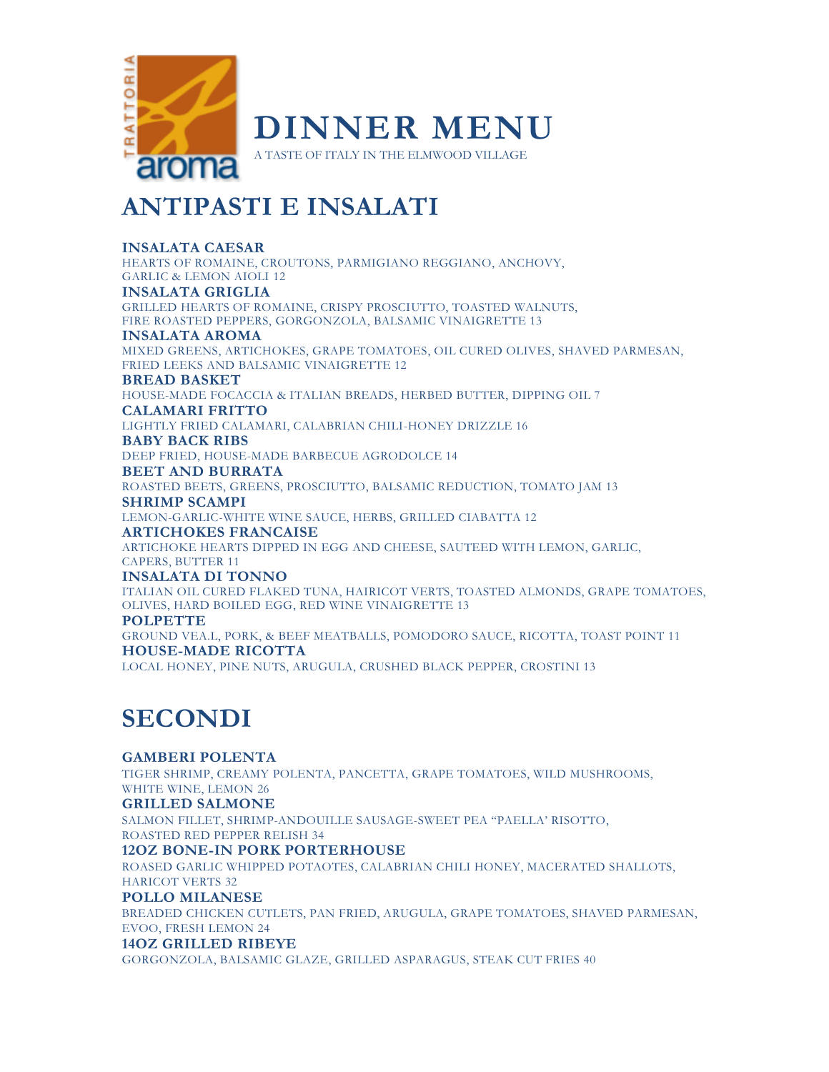

## **ANTIPASTI E INSALATI**

## **INSALATA CAESAR**

HEARTS OF ROMAINE, CROUTONS, PARMIGIANO REGGIANO, ANCHOVY, GARLIC & LEMON AIOLI 12

## **INSALATA GRIGLIA**

GRILLED HEARTS OF ROMAINE, CRISPY PROSCIUTTO, TOASTED WALNUTS, FIRE ROASTED PEPPERS, GORGONZOLA, BALSAMIC VINAIGRETTE 13

#### **INSALATA AROMA**

MIXED GREENS, ARTICHOKES, GRAPE TOMATOES, OIL CURED OLIVES, SHAVED PARMESAN, FRIED LEEKS AND BALSAMIC VINAIGRETTE 12

### **BREAD BASKET**

HOUSE-MADE FOCACCIA & ITALIAN BREADS, HERBED BUTTER, DIPPING OIL 7

## **CALAMARI FRITTO**

LIGHTLY FRIED CALAMARI, CALABRIAN CHILI-HONEY DRIZZLE 16

#### **BABY BACK RIBS**

DEEP FRIED, HOUSE-MADE BARBECUE AGRODOLCE 14

#### **BEET AND BURRATA**

ROASTED BEETS, GREENS, PROSCIUTTO, BALSAMIC REDUCTION, TOMATO JAM 13

#### **SHRIMP SCAMPI**

LEMON-GARLIC-WHITE WINE SAUCE, HERBS, GRILLED CIABATTA 12

## **ARTICHOKES FRANCAISE**

ARTICHOKE HEARTS DIPPED IN EGG AND CHEESE, SAUTEED WITH LEMON, GARLIC, CAPERS, BUTTER 11

## **INSALATA DI TONNO**

ITALIAN OIL CURED FLAKED TUNA, HAIRICOT VERTS, TOASTED ALMONDS, GRAPE TOMATOES, OLIVES, HARD BOILED EGG, RED WINE VINAIGRETTE 13

## **POLPETTE**

GROUND VEA.L, PORK, & BEEF MEATBALLS, POMODORO SAUCE, RICOTTA, TOAST POINT 11 **HOUSE-MADE RICOTTA** 

LOCAL HONEY, PINE NUTS, ARUGULA, CRUSHED BLACK PEPPER, CROSTINI 13

## **SECONDI**

## **GAMBERI POLENTA**

TIGER SHRIMP, CREAMY POLENTA, PANCETTA, GRAPE TOMATOES, WILD MUSHROOMS, WHITE WINE, LEMON 26

## **GRILLED SALMONE**

SALMON FILLET, SHRIMP-ANDOUILLE SAUSAGE-SWEET PEA "PAELLA' RISOTTO, ROASTED RED PEPPER RELISH 34

## **12OZ BONE-IN PORK PORTERHOUSE**

ROASED GARLIC WHIPPED POTAOTES, CALABRIAN CHILI HONEY, MACERATED SHALLOTS, HARICOT VERTS 32

## **POLLO MILANESE**

BREADED CHICKEN CUTLETS, PAN FRIED, ARUGULA, GRAPE TOMATOES, SHAVED PARMESAN, EVOO, FRESH LEMON 24

### **14OZ GRILLED RIBEYE**

GORGONZOLA, BALSAMIC GLAZE, GRILLED ASPARAGUS, STEAK CUT FRIES 40